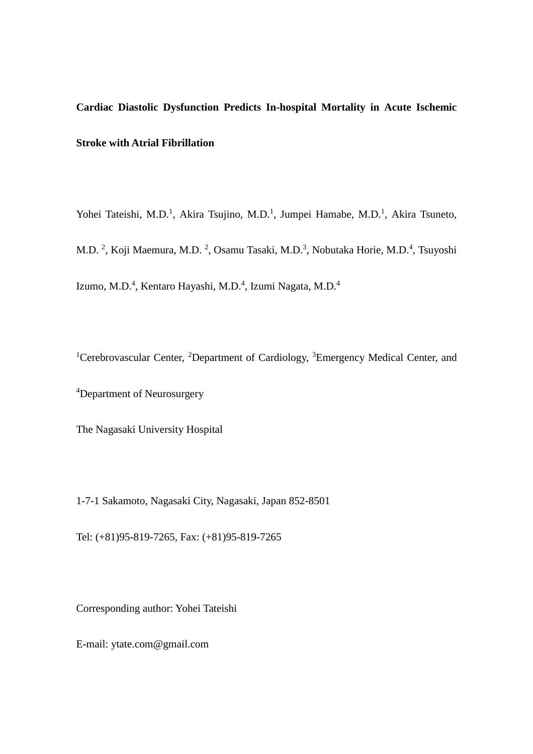**Cardiac Diastolic Dysfunction Predicts In-hospital Mortality in Acute Ischemic Stroke with Atrial Fibrillation**

Yohei Tateishi, M.D.<sup>1</sup>, Akira Tsujino, M.D.<sup>1</sup>, Jumpei Hamabe, M.D.<sup>1</sup>, Akira Tsuneto,

M.D.<sup>2</sup>, Koji Maemura, M.D.<sup>2</sup>, Osamu Tasaki, M.D.<sup>3</sup>, Nobutaka Horie, M.D.<sup>4</sup>, Tsuyoshi Izumo, M.D.<sup>4</sup>, Kentaro Hayashi, M.D.<sup>4</sup>, Izumi Nagata, M.D.<sup>4</sup>

<sup>1</sup>Cerebrovascular Center, <sup>2</sup>Department of Cardiology, <sup>3</sup>Emergency Medical Center, and

4 Department of Neurosurgery

The Nagasaki University Hospital

1-7-1 Sakamoto, Nagasaki City, Nagasaki, Japan 852-8501

Tel: (+81)95-819-7265, Fax: (+81)95-819-7265

Corresponding author: Yohei Tateishi

E-mail: ytate.com@gmail.com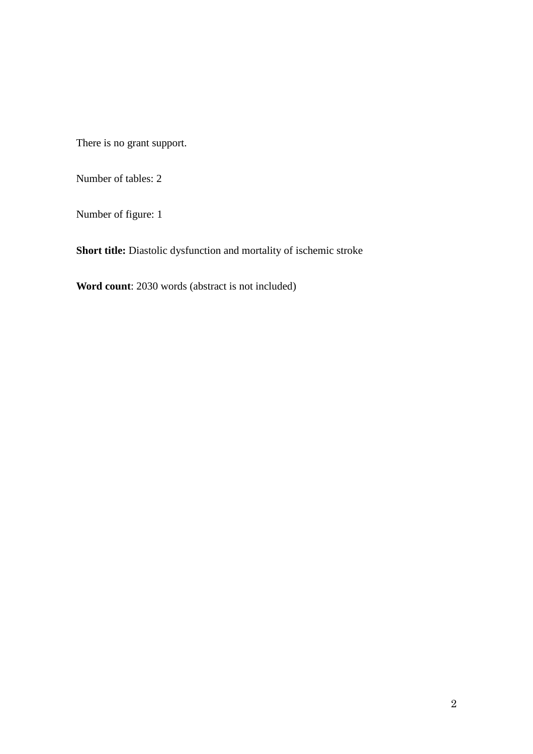There is no grant support.

Number of tables: 2

Number of figure: 1

**Short title:** Diastolic dysfunction and mortality of ischemic stroke

**Word count**: 2030 words (abstract is not included)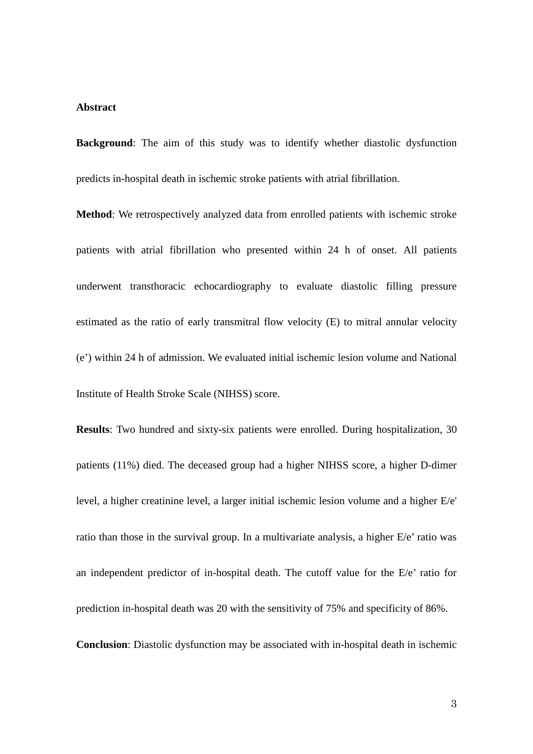#### **Abstract**

**Background**: The aim of this study was to identify whether diastolic dysfunction predicts in-hospital death in ischemic stroke patients with atrial fibrillation.

**Method**: We retrospectively analyzed data from enrolled patients with ischemic stroke patients with atrial fibrillation who presented within 24 h of onset. All patients underwent transthoracic echocardiography to evaluate diastolic filling pressure estimated as the ratio of early transmitral flow velocity (E) to mitral annular velocity (e') within 24 h of admission. We evaluated initial ischemic lesion volume and National Institute of Health Stroke Scale (NIHSS) score.

**Results**: Two hundred and sixty-six patients were enrolled. During hospitalization, 30 patients (11%) died. The deceased group had a higher NIHSS score, a higher D-dimer level, a higher creatinine level, a larger initial ischemic lesion volume and a higher E/e' ratio than those in the survival group. In a multivariate analysis, a higher E/e' ratio was an independent predictor of in-hospital death. The cutoff value for the E/e' ratio for prediction in-hospital death was 20 with the sensitivity of 75% and specificity of 86%. **Conclusion**: Diastolic dysfunction may be associated with in-hospital death in ischemic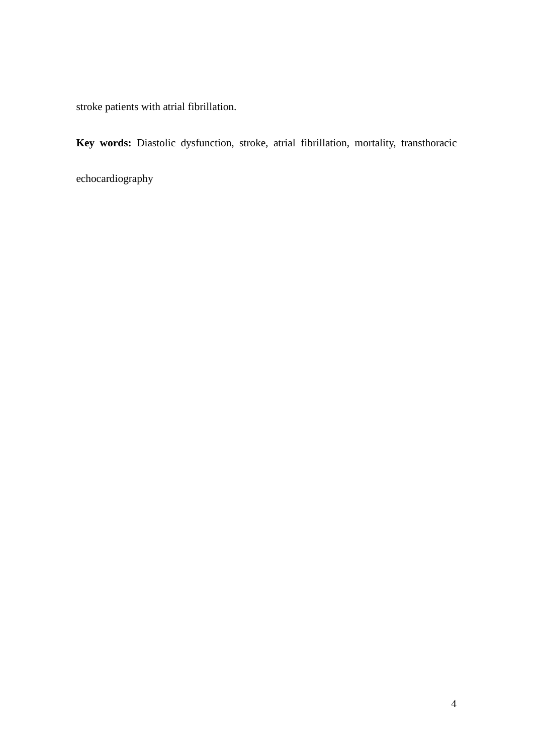stroke patients with atrial fibrillation.

**Key words:** Diastolic dysfunction, stroke, atrial fibrillation, mortality, transthoracic

echocardiography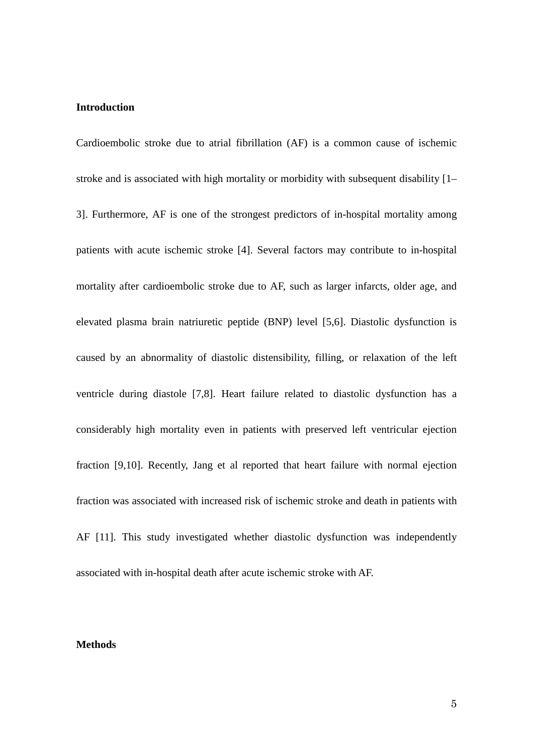#### **Introduction**

Cardioembolic stroke due to atrial fibrillation (AF) is a common cause of ischemic stroke and is associated with high mortality or morbidity with subsequent disability [1– 3]. Furthermore, AF is one of the strongest predictors of in-hospital mortality among patients with acute ischemic stroke [4]. Several factors may contribute to in-hospital mortality after cardioembolic stroke due to AF, such as larger infarcts, older age, and elevated plasma brain natriuretic peptide (BNP) level [5,6]. Diastolic dysfunction is caused by an abnormality of diastolic distensibility, filling, or relaxation of the left ventricle during diastole [7,8]. Heart failure related to diastolic dysfunction has a considerably high mortality even in patients with preserved left ventricular ejection fraction [9,10]. Recently, Jang et al reported that heart failure with normal ejection fraction was associated with increased risk of ischemic stroke and death in patients with AF [11]. This study investigated whether diastolic dysfunction was independently associated with in-hospital death after acute ischemic stroke with AF.

#### **Methods**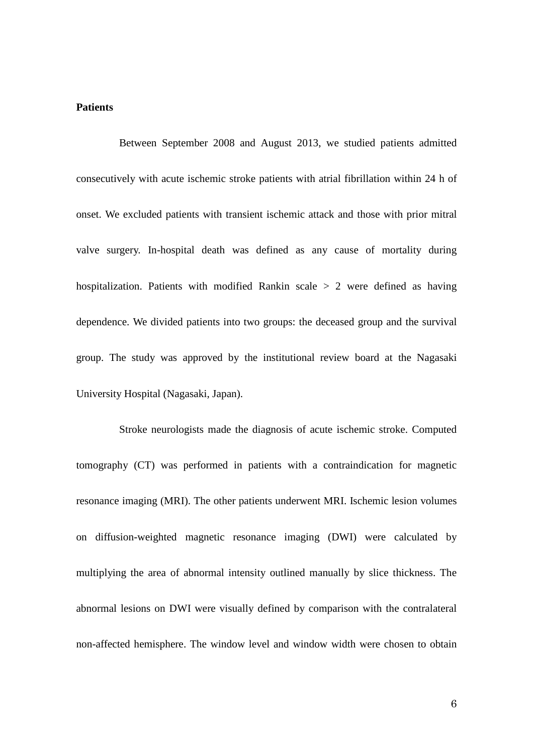### **Patients**

Between September 2008 and August 2013, we studied patients admitted consecutively with acute ischemic stroke patients with atrial fibrillation within 24 h of onset. We excluded patients with transient ischemic attack and those with prior mitral valve surgery. In-hospital death was defined as any cause of mortality during hospitalization. Patients with modified Rankin scale  $> 2$  were defined as having dependence. We divided patients into two groups: the deceased group and the survival group. The study was approved by the institutional review board at the Nagasaki University Hospital (Nagasaki, Japan).

Stroke neurologists made the diagnosis of acute ischemic stroke. Computed tomography (CT) was performed in patients with a contraindication for magnetic resonance imaging (MRI). The other patients underwent MRI. Ischemic lesion volumes on diffusion-weighted magnetic resonance imaging (DWI) were calculated by multiplying the area of abnormal intensity outlined manually by slice thickness. The abnormal lesions on DWI were visually defined by comparison with the contralateral non-affected hemisphere. The window level and window width were chosen to obtain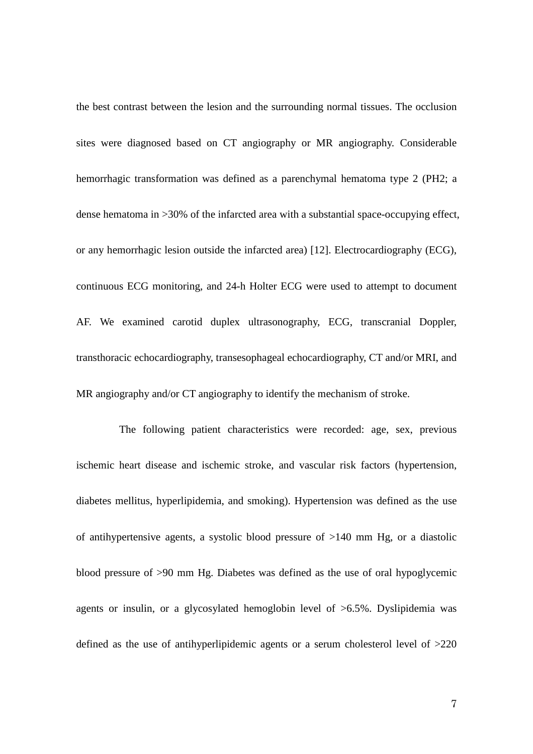the best contrast between the lesion and the surrounding normal tissues. The occlusion sites were diagnosed based on CT angiography or MR angiography. Considerable hemorrhagic transformation was defined as a parenchymal hematoma type 2 (PH2; a dense hematoma in >30% of the infarcted area with a substantial space-occupying effect, or any hemorrhagic lesion outside the infarcted area) [12]. Electrocardiography (ECG), continuous ECG monitoring, and 24-h Holter ECG were used to attempt to document AF. We examined carotid duplex ultrasonography, ECG, transcranial Doppler, transthoracic echocardiography, transesophageal echocardiography, CT and/or MRI, and MR angiography and/or CT angiography to identify the mechanism of stroke.

The following patient characteristics were recorded: age, sex, previous ischemic heart disease and ischemic stroke, and vascular risk factors (hypertension, diabetes mellitus, hyperlipidemia, and smoking). Hypertension was defined as the use of antihypertensive agents, a systolic blood pressure of >140 mm Hg, or a diastolic blood pressure of >90 mm Hg. Diabetes was defined as the use of oral hypoglycemic agents or insulin, or a glycosylated hemoglobin level of >6.5%. Dyslipidemia was defined as the use of antihyperlipidemic agents or a serum cholesterol level of >220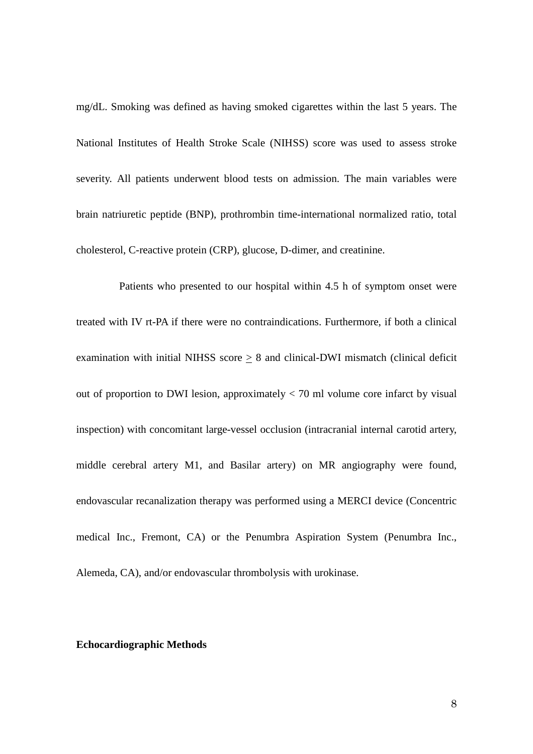mg/dL. Smoking was defined as having smoked cigarettes within the last 5 years. The National Institutes of Health Stroke Scale (NIHSS) score was used to assess stroke severity. All patients underwent blood tests on admission. The main variables were brain natriuretic peptide (BNP), prothrombin time-international normalized ratio, total cholesterol, C-reactive protein (CRP), glucose, D-dimer, and creatinine.

Patients who presented to our hospital within 4.5 h of symptom onset were treated with IV rt-PA if there were no contraindications. Furthermore, if both a clinical examination with initial NIHSS score  $\geq 8$  and clinical-DWI mismatch (clinical deficit out of proportion to DWI lesion, approximately < 70 ml volume core infarct by visual inspection) with concomitant large-vessel occlusion (intracranial internal carotid artery, middle cerebral artery M1, and Basilar artery) on MR angiography were found, endovascular recanalization therapy was performed using a MERCI device (Concentric medical Inc., Fremont, CA) or the Penumbra Aspiration System (Penumbra Inc., Alemeda, CA), and/or endovascular thrombolysis with urokinase.

#### **Echocardiographic Methods**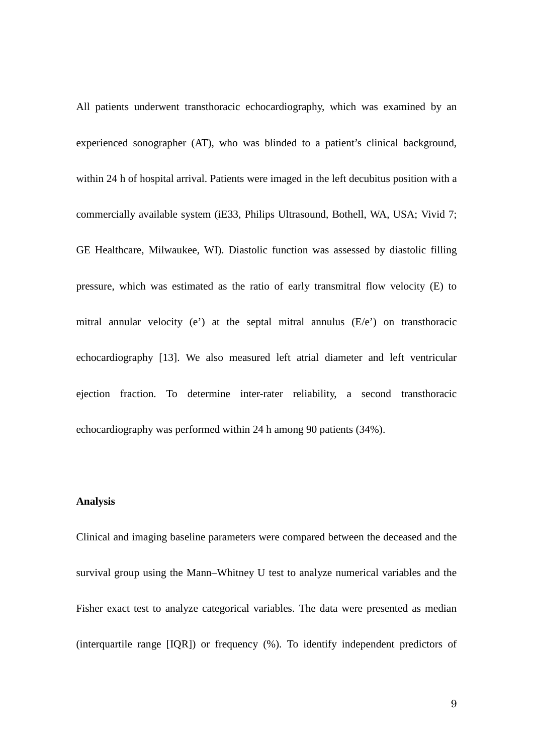All patients underwent transthoracic echocardiography, which was examined by an experienced sonographer (AT), who was blinded to a patient's clinical background, within 24 h of hospital arrival. Patients were imaged in the left decubitus position with a commercially available system (iE33, Philips Ultrasound, Bothell, WA, USA; Vivid 7; GE Healthcare, Milwaukee, WI). Diastolic function was assessed by diastolic filling pressure, which was estimated as the ratio of early transmitral flow velocity (E) to mitral annular velocity (e') at the septal mitral annulus (E/e') on transthoracic echocardiography [13]. We also measured left atrial diameter and left ventricular ejection fraction. To determine inter-rater reliability, a second transthoracic echocardiography was performed within 24 h among 90 patients (34%).

#### **Analysis**

Clinical and imaging baseline parameters were compared between the deceased and the survival group using the Mann–Whitney U test to analyze numerical variables and the Fisher exact test to analyze categorical variables. The data were presented as median (interquartile range [IQR]) or frequency (%). To identify independent predictors of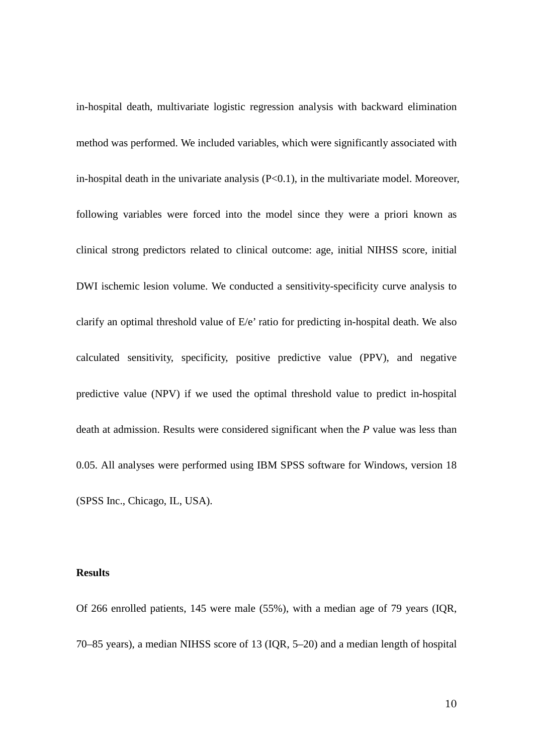in-hospital death, multivariate logistic regression analysis with backward elimination method was performed. We included variables, which were significantly associated with in-hospital death in the univariate analysis  $(P<0.1)$ , in the multivariate model. Moreover, following variables were forced into the model since they were a priori known as clinical strong predictors related to clinical outcome: age, initial NIHSS score, initial DWI ischemic lesion volume. We conducted a sensitivity-specificity curve analysis to clarify an optimal threshold value of E/e' ratio for predicting in-hospital death. We also calculated sensitivity, specificity, positive predictive value (PPV), and negative predictive value (NPV) if we used the optimal threshold value to predict in-hospital death at admission. Results were considered significant when the *P* value was less than 0.05. All analyses were performed using IBM SPSS software for Windows, version 18 (SPSS Inc., Chicago, IL, USA).

# **Results**

Of 266 enrolled patients, 145 were male (55%), with a median age of 79 years (IQR, 70–85 years), a median NIHSS score of 13 (IQR, 5–20) and a median length of hospital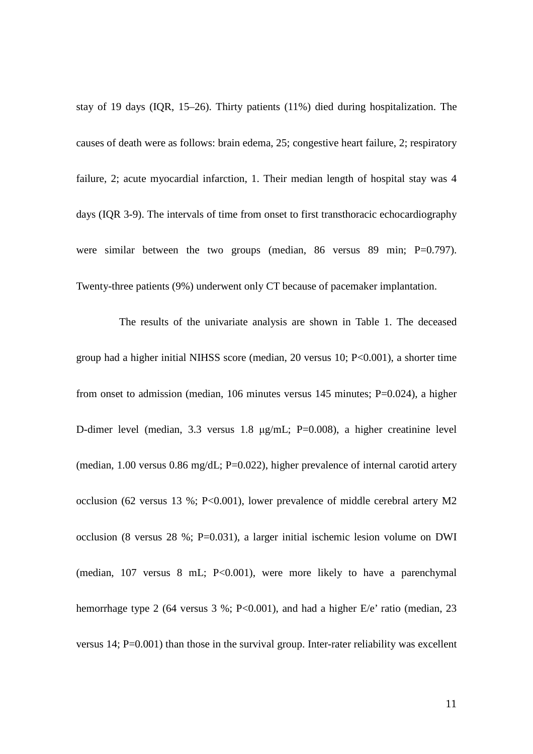stay of 19 days (IQR, 15–26). Thirty patients (11%) died during hospitalization. The causes of death were as follows: brain edema, 25; congestive heart failure, 2; respiratory failure, 2; acute myocardial infarction, 1. Their median length of hospital stay was 4 days (IQR 3-9). The intervals of time from onset to first transthoracic echocardiography were similar between the two groups (median,  $86$  versus  $89$  min; P=0.797). Twenty-three patients (9%) underwent only CT because of pacemaker implantation.

The results of the univariate analysis are shown in Table 1. The deceased group had a higher initial NIHSS score (median, 20 versus 10; P<0.001), a shorter time from onset to admission (median, 106 minutes versus 145 minutes; P=0.024), a higher D-dimer level (median, 3.3 versus 1.8 μg/mL; P=0.008), a higher creatinine level (median, 1.00 versus 0.86 mg/dL; P=0.022), higher prevalence of internal carotid artery occlusion (62 versus 13 %; P<0.001), lower prevalence of middle cerebral artery M2 occlusion (8 versus 28 %; P=0.031), a larger initial ischemic lesion volume on DWI (median, 107 versus 8 mL; P<0.001), were more likely to have a parenchymal hemorrhage type 2 (64 versus 3 %; P<0.001), and had a higher E/e' ratio (median, 23 versus 14; P=0.001) than those in the survival group. Inter-rater reliability was excellent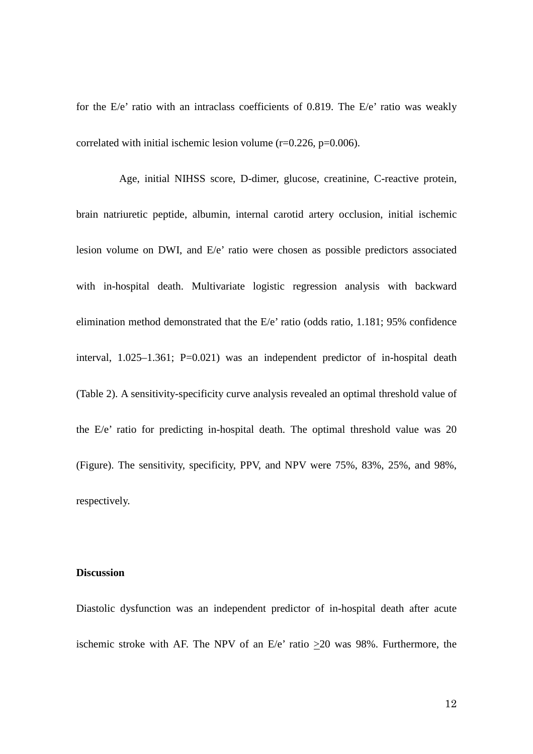for the E/e' ratio with an intraclass coefficients of 0.819. The E/e' ratio was weakly correlated with initial ischemic lesion volume  $(r=0.226, p=0.006)$ .

Age, initial NIHSS score, D-dimer, glucose, creatinine, C-reactive protein, brain natriuretic peptide, albumin, internal carotid artery occlusion, initial ischemic lesion volume on DWI, and E/e' ratio were chosen as possible predictors associated with in-hospital death. Multivariate logistic regression analysis with backward elimination method demonstrated that the E/e' ratio (odds ratio, 1.181; 95% confidence interval, 1.025–1.361; P=0.021) was an independent predictor of in-hospital death (Table 2). A sensitivity-specificity curve analysis revealed an optimal threshold value of the E/e' ratio for predicting in-hospital death. The optimal threshold value was 20 (Figure). The sensitivity, specificity, PPV, and NPV were 75%, 83%, 25%, and 98%, respectively.

## **Discussion**

Diastolic dysfunction was an independent predictor of in-hospital death after acute ischemic stroke with AF. The NPV of an E/e' ratio  $\geq 20$  was 98%. Furthermore, the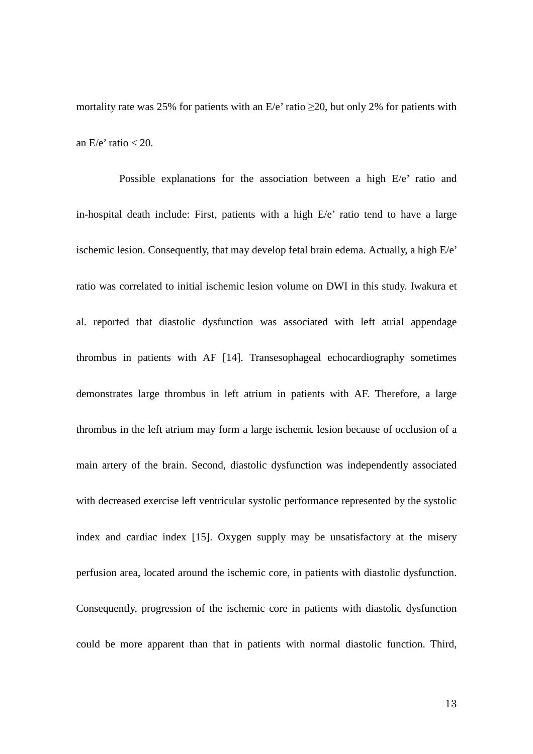mortality rate was 25% for patients with an  $E/e'$  ratio  $\geq$ 20, but only 2% for patients with an  $E/e'$  ratio  $<$  20.

Possible explanations for the association between a high E/e' ratio and in-hospital death include: First, patients with a high E/e' ratio tend to have a large ischemic lesion. Consequently, that may develop fetal brain edema. Actually, a high E/e' ratio was correlated to initial ischemic lesion volume on DWI in this study. Iwakura et al. reported that diastolic dysfunction was associated with left atrial appendage thrombus in patients with AF [14]. Transesophageal echocardiography sometimes demonstrates large thrombus in left atrium in patients with AF. Therefore, a large thrombus in the left atrium may form a large ischemic lesion because of occlusion of a main artery of the brain. Second, diastolic dysfunction was independently associated with decreased exercise left ventricular systolic performance represented by the systolic index and cardiac index [15]. Oxygen supply may be unsatisfactory at the misery perfusion area, located around the ischemic core, in patients with diastolic dysfunction. Consequently, progression of the ischemic core in patients with diastolic dysfunction could be more apparent than that in patients with normal diastolic function. Third,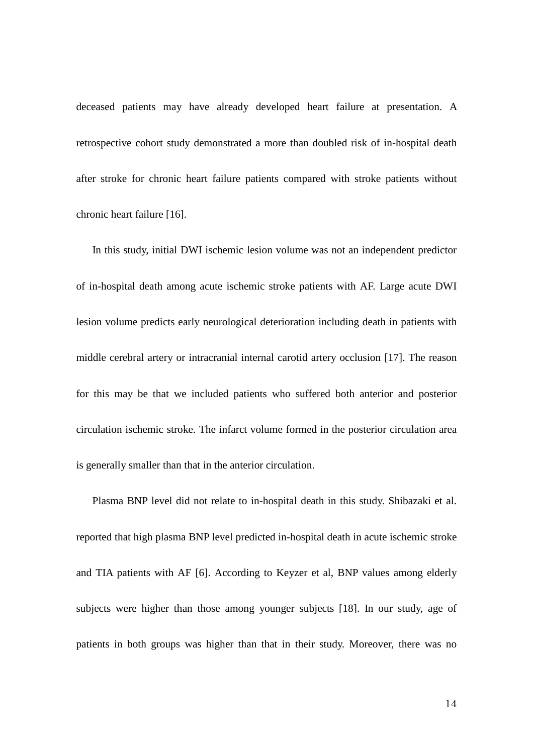deceased patients may have already developed heart failure at presentation. A retrospective cohort study demonstrated a more than doubled risk of in-hospital death after stroke for chronic heart failure patients compared with stroke patients without chronic heart failure [16].

 In this study, initial DWI ischemic lesion volume was not an independent predictor of in-hospital death among acute ischemic stroke patients with AF. Large acute DWI lesion volume predicts early neurological deterioration including death in patients with middle cerebral artery or intracranial internal carotid artery occlusion [17]. The reason for this may be that we included patients who suffered both anterior and posterior circulation ischemic stroke. The infarct volume formed in the posterior circulation area is generally smaller than that in the anterior circulation.

 Plasma BNP level did not relate to in-hospital death in this study. Shibazaki et al. reported that high plasma BNP level predicted in-hospital death in acute ischemic stroke and TIA patients with AF [6]. According to Keyzer et al, BNP values among elderly subjects were higher than those among younger subjects [18]. In our study, age of patients in both groups was higher than that in their study. Moreover, there was no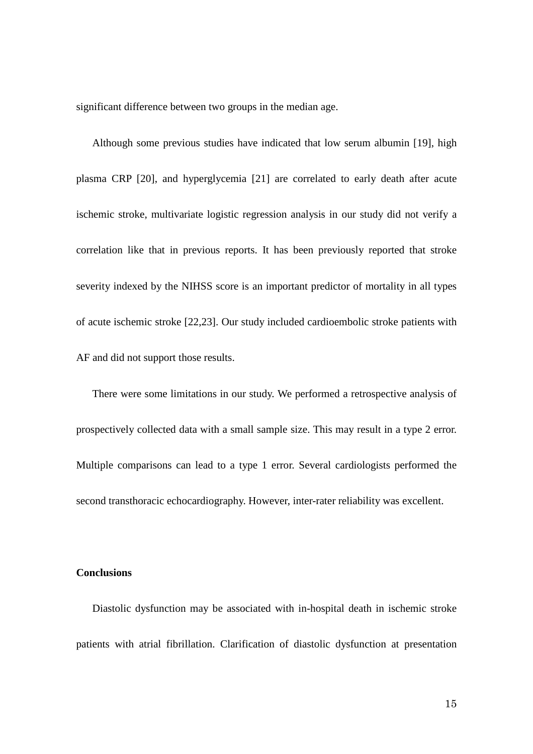significant difference between two groups in the median age.

 Although some previous studies have indicated that low serum albumin [19], high plasma CRP [20], and hyperglycemia [21] are correlated to early death after acute ischemic stroke, multivariate logistic regression analysis in our study did not verify a correlation like that in previous reports. It has been previously reported that stroke severity indexed by the NIHSS score is an important predictor of mortality in all types of acute ischemic stroke [22,23]. Our study included cardioembolic stroke patients with AF and did not support those results.

 There were some limitations in our study. We performed a retrospective analysis of prospectively collected data with a small sample size. This may result in a type 2 error. Multiple comparisons can lead to a type 1 error. Several cardiologists performed the second transthoracic echocardiography. However, inter-rater reliability was excellent.

## **Conclusions**

 Diastolic dysfunction may be associated with in-hospital death in ischemic stroke patients with atrial fibrillation. Clarification of diastolic dysfunction at presentation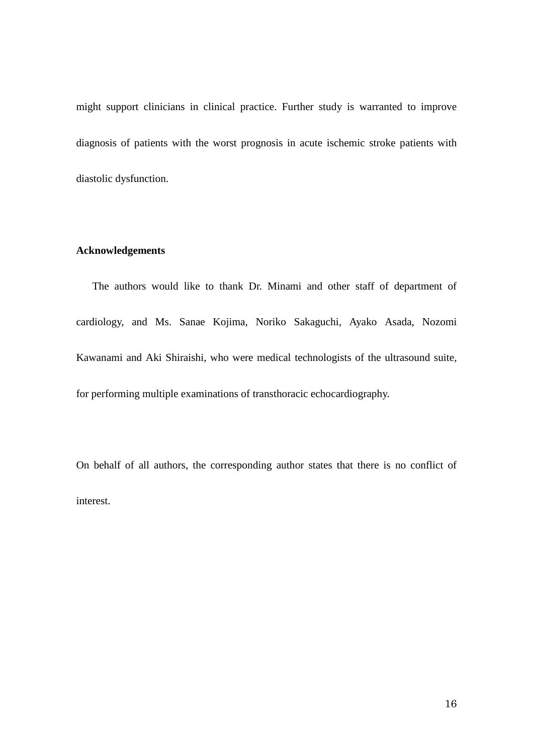might support clinicians in clinical practice. Further study is warranted to improve diagnosis of patients with the worst prognosis in acute ischemic stroke patients with diastolic dysfunction.

# **Acknowledgements**

 The authors would like to thank Dr. Minami and other staff of department of cardiology, and Ms. Sanae Kojima, Noriko Sakaguchi, Ayako Asada, Nozomi Kawanami and Aki Shiraishi, who were medical technologists of the ultrasound suite, for performing multiple examinations of transthoracic echocardiography.

On behalf of all authors, the corresponding author states that there is no conflict of interest.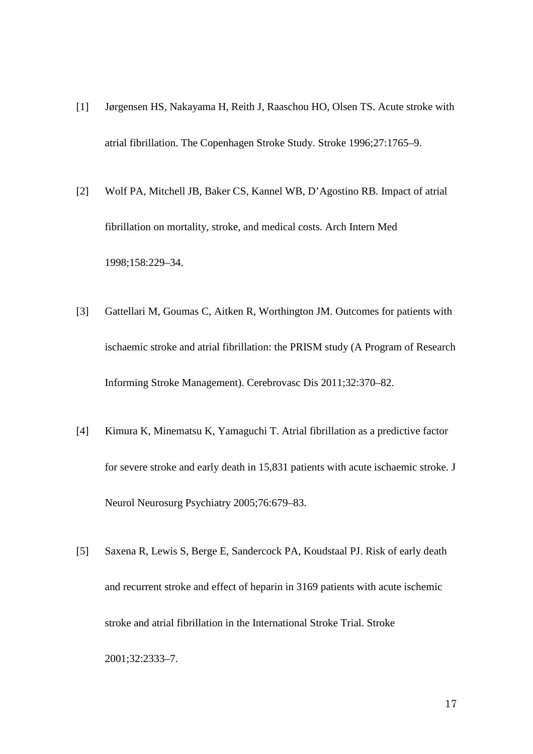- [1] Jørgensen HS, Nakayama H, Reith J, Raaschou HO, Olsen TS. Acute stroke with atrial fibrillation. The Copenhagen Stroke Study. Stroke 1996;27:1765–9.
- [2] Wolf PA, Mitchell JB, Baker CS, Kannel WB, D'Agostino RB. Impact of atrial fibrillation on mortality, stroke, and medical costs. Arch Intern Med 1998;158:229–34.
- [3] Gattellari M, Goumas C, Aitken R, Worthington JM. Outcomes for patients with ischaemic stroke and atrial fibrillation: the PRISM study (A Program of Research Informing Stroke Management). Cerebrovasc Dis 2011;32:370–82.
- [4] Kimura K, Minematsu K, Yamaguchi T. Atrial fibrillation as a predictive factor for severe stroke and early death in 15,831 patients with acute ischaemic stroke. J Neurol Neurosurg Psychiatry 2005;76:679–83.
- [5] Saxena R, Lewis S, Berge E, Sandercock PA, Koudstaal PJ. Risk of early death and recurrent stroke and effect of heparin in 3169 patients with acute ischemic stroke and atrial fibrillation in the International Stroke Trial. Stroke 2001;32:2333–7.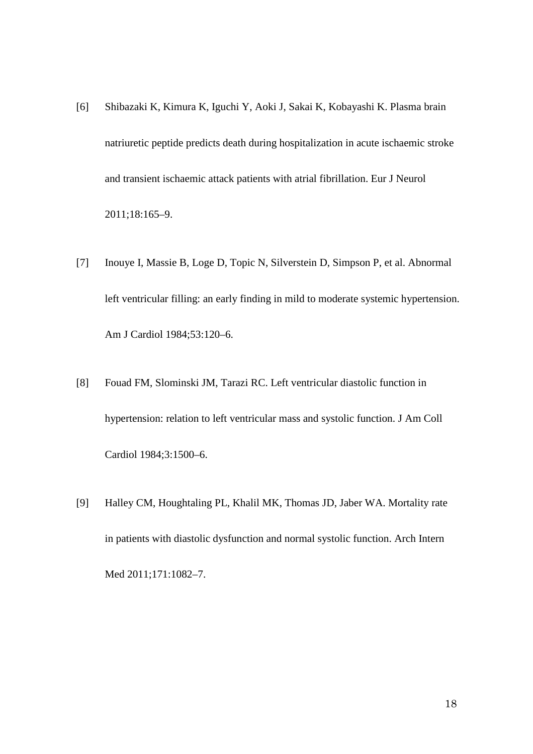- [6] Shibazaki K, Kimura K, Iguchi Y, Aoki J, Sakai K, Kobayashi K. Plasma brain natriuretic peptide predicts death during hospitalization in acute ischaemic stroke and transient ischaemic attack patients with atrial fibrillation. Eur J Neurol 2011;18:165–9.
- [7] Inouye I, Massie B, Loge D, Topic N, Silverstein D, Simpson P, et al. Abnormal left ventricular filling: an early finding in mild to moderate systemic hypertension. Am J Cardiol 1984;53:120–6.
- [8] Fouad FM, Slominski JM, Tarazi RC. Left ventricular diastolic function in hypertension: relation to left ventricular mass and systolic function. J Am Coll Cardiol 1984;3:1500–6.
- [9] Halley CM, Houghtaling PL, Khalil MK, Thomas JD, Jaber WA. Mortality rate in patients with diastolic dysfunction and normal systolic function. Arch Intern Med 2011;171:1082–7.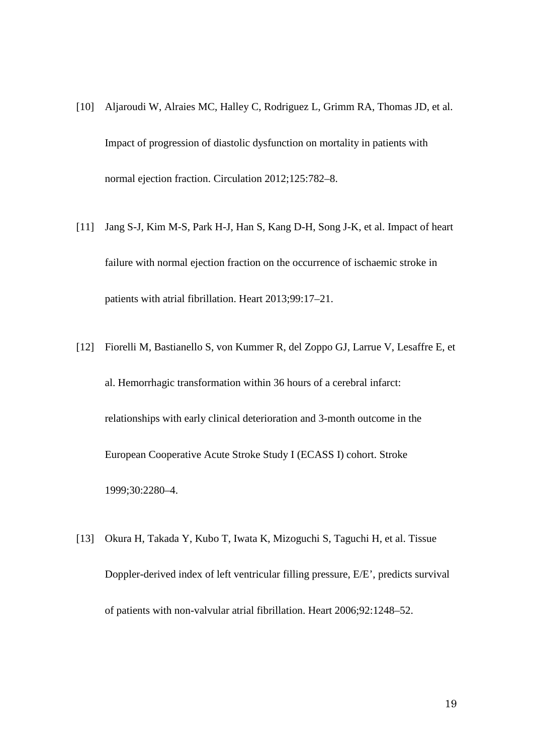- [10] Aljaroudi W, Alraies MC, Halley C, Rodriguez L, Grimm RA, Thomas JD, et al. Impact of progression of diastolic dysfunction on mortality in patients with normal ejection fraction. Circulation 2012;125:782–8.
- [11] Jang S-J, Kim M-S, Park H-J, Han S, Kang D-H, Song J-K, et al. Impact of heart failure with normal ejection fraction on the occurrence of ischaemic stroke in patients with atrial fibrillation. Heart 2013;99:17–21.
- [12] Fiorelli M, Bastianello S, von Kummer R, del Zoppo GJ, Larrue V, Lesaffre E, et al. Hemorrhagic transformation within 36 hours of a cerebral infarct: relationships with early clinical deterioration and 3-month outcome in the European Cooperative Acute Stroke Study I (ECASS I) cohort. Stroke 1999;30:2280–4.
- [13] Okura H, Takada Y, Kubo T, Iwata K, Mizoguchi S, Taguchi H, et al. Tissue Doppler-derived index of left ventricular filling pressure, E/E', predicts survival of patients with non-valvular atrial fibrillation. Heart 2006;92:1248–52.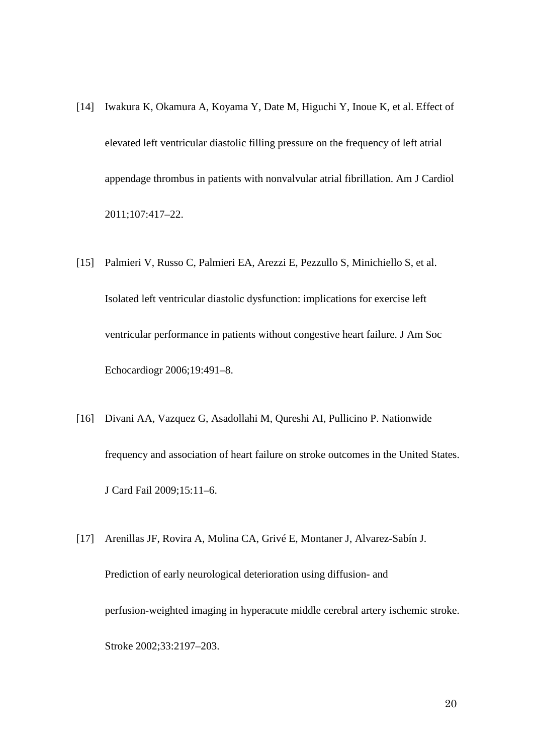- [14] Iwakura K, Okamura A, Koyama Y, Date M, Higuchi Y, Inoue K, et al. Effect of elevated left ventricular diastolic filling pressure on the frequency of left atrial appendage thrombus in patients with nonvalvular atrial fibrillation. Am J Cardiol 2011;107:417–22.
- [15] Palmieri V, Russo C, Palmieri EA, Arezzi E, Pezzullo S, Minichiello S, et al. Isolated left ventricular diastolic dysfunction: implications for exercise left ventricular performance in patients without congestive heart failure. J Am Soc Echocardiogr 2006;19:491–8.
- [16] Divani AA, Vazquez G, Asadollahi M, Qureshi AI, Pullicino P. Nationwide frequency and association of heart failure on stroke outcomes in the United States. J Card Fail 2009;15:11–6.
- [17] Arenillas JF, Rovira A, Molina CA, Grivé E, Montaner J, Alvarez-Sabín J. Prediction of early neurological deterioration using diffusion- and perfusion-weighted imaging in hyperacute middle cerebral artery ischemic stroke. Stroke 2002;33:2197–203.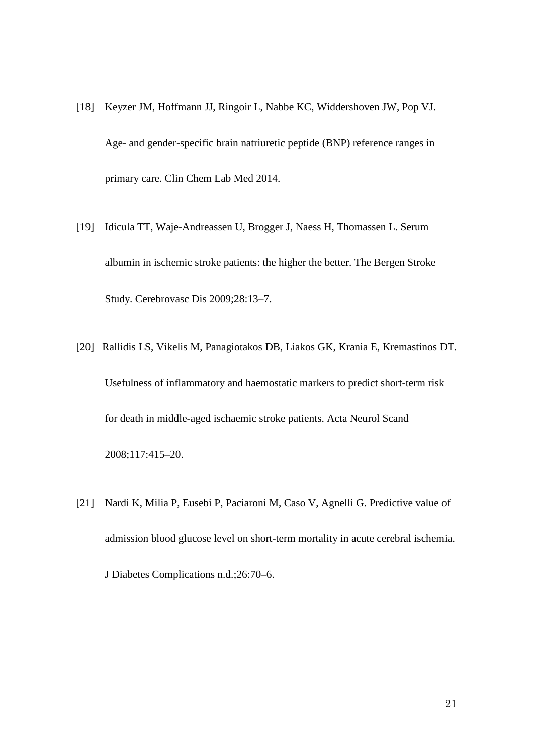- [18] Keyzer JM, Hoffmann JJ, Ringoir L, Nabbe KC, Widdershoven JW, Pop VJ. Age- and gender-specific brain natriuretic peptide (BNP) reference ranges in primary care. Clin Chem Lab Med 2014.
- [19] Idicula TT, Waje-Andreassen U, Brogger J, Naess H, Thomassen L. Serum albumin in ischemic stroke patients: the higher the better. The Bergen Stroke Study. Cerebrovasc Dis 2009;28:13–7.
- [20] Rallidis LS, Vikelis M, Panagiotakos DB, Liakos GK, Krania E, Kremastinos DT. Usefulness of inflammatory and haemostatic markers to predict short-term risk for death in middle-aged ischaemic stroke patients. Acta Neurol Scand 2008;117:415–20.
- [21] Nardi K, Milia P, Eusebi P, Paciaroni M, Caso V, Agnelli G. Predictive value of admission blood glucose level on short-term mortality in acute cerebral ischemia. J Diabetes Complications n.d.;26:70–6.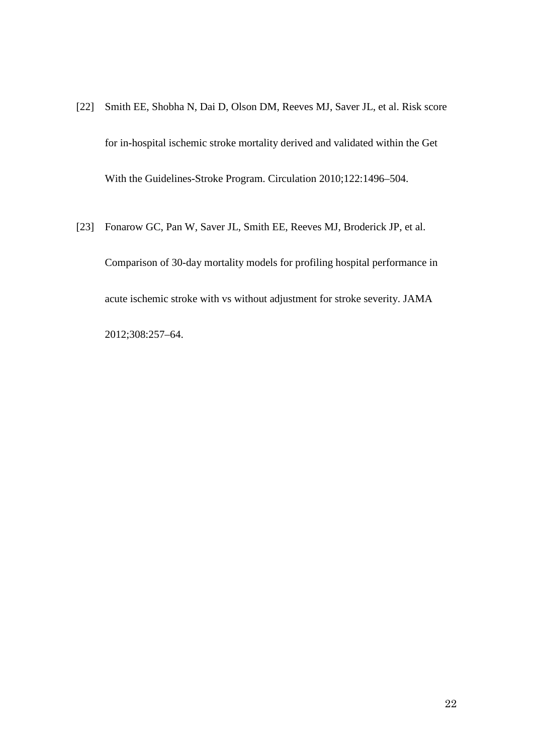- [22] Smith EE, Shobha N, Dai D, Olson DM, Reeves MJ, Saver JL, et al. Risk score for in-hospital ischemic stroke mortality derived and validated within the Get With the Guidelines-Stroke Program. Circulation 2010;122:1496–504.
- [23] Fonarow GC, Pan W, Saver JL, Smith EE, Reeves MJ, Broderick JP, et al. Comparison of 30-day mortality models for profiling hospital performance in acute ischemic stroke with vs without adjustment for stroke severity. JAMA

2012;308:257–64.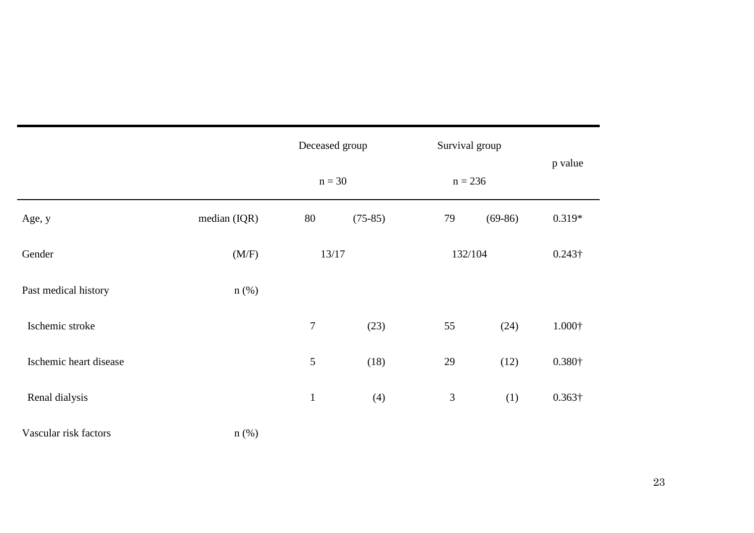|                        |              | Deceased group |           | Survival group |           |                |
|------------------------|--------------|----------------|-----------|----------------|-----------|----------------|
|                        |              | $n = 30$       |           | $n = 236$      |           | p value        |
| Age, y                 | median (IQR) | 80             | $(75-85)$ | 79             | $(69-86)$ | $0.319*$       |
| Gender                 | (M/F)        | 13/17          |           | 132/104        |           | $0.243\dagger$ |
| Past medical history   | $n$ (%)      |                |           |                |           |                |
| Ischemic stroke        |              | $\overline{7}$ | (23)      | 55             | (24)      | $1.000\dagger$ |
| Ischemic heart disease |              | $\mathfrak{S}$ | (18)      | 29             | (12)      | $0.380\dagger$ |
| Renal dialysis         |              | $\mathbf{1}$   | (4)       | $\mathfrak{Z}$ | (1)       | $0.363\dagger$ |
| Vascular risk factors  | $n$ (%)      |                |           |                |           |                |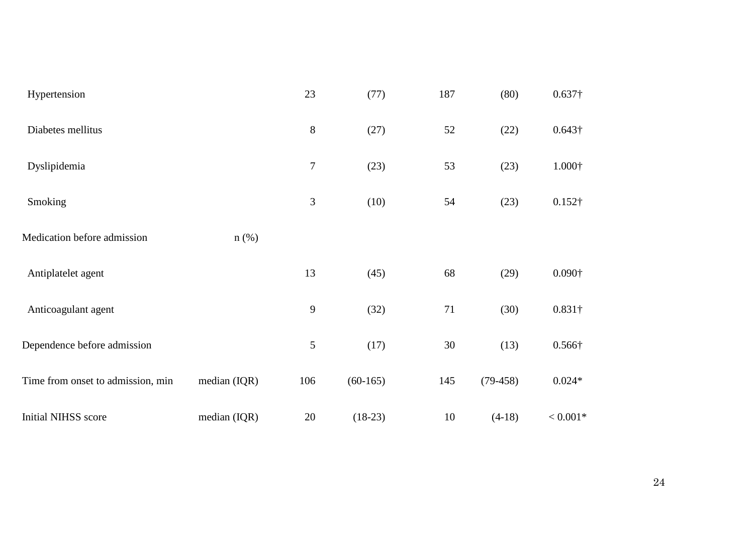| Hypertension                      |                | 23               | (77)       | 187 | (80)       | $0.637\dagger$ |
|-----------------------------------|----------------|------------------|------------|-----|------------|----------------|
| Diabetes mellitus                 |                | $8\,$            | (27)       | 52  | (22)       | $0.643\dagger$ |
| Dyslipidemia                      |                | 7                | (23)       | 53  | (23)       | $1.000\dagger$ |
| Smoking                           |                | 3                | (10)       | 54  | (23)       | $0.152\dagger$ |
| Medication before admission       | $n$ (%)        |                  |            |     |            |                |
| Antiplatelet agent                |                | 13               | (45)       | 68  | (29)       | $0.090\dagger$ |
| Anticoagulant agent               |                | $\boldsymbol{9}$ | (32)       | 71  | (30)       | $0.831\dagger$ |
| Dependence before admission       |                | 5                | (17)       | 30  | (13)       | $0.566\dagger$ |
| Time from onset to admission, min | median $(IQR)$ | 106              | $(60-165)$ | 145 | $(79-458)$ | $0.024*$       |
| <b>Initial NIHSS score</b>        | median (IQR)   | 20               | $(18-23)$  | 10  | $(4-18)$   | $< 0.001*$     |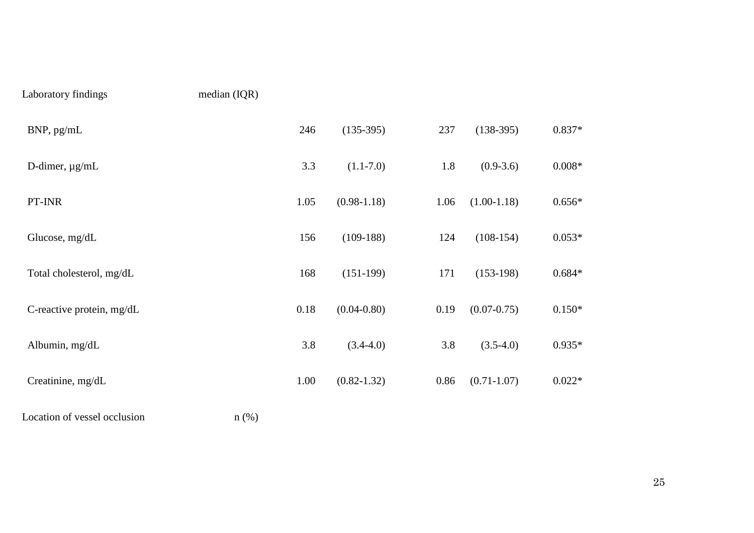# Laboratory findings median (IQR)

| median (IQR) |  |
|--------------|--|
|--------------|--|

| BNP, pg/mL                | 246  | $(135-395)$     | 237  | $(138-395)$     | $0.837*$ |
|---------------------------|------|-----------------|------|-----------------|----------|
| D-dimer, $\mu$ g/mL       | 3.3  | $(1.1 - 7.0)$   | 1.8  | $(0.9-3.6)$     | $0.008*$ |
| PT-INR                    | 1.05 | $(0.98-1.18)$   | 1.06 | $(1.00-1.18)$   | $0.656*$ |
| Glucose, mg/dL            | 156  | $(109-188)$     | 124  | $(108-154)$     | $0.053*$ |
| Total cholesterol, mg/dL  | 168  | $(151-199)$     | 171  | $(153-198)$     | $0.684*$ |
| C-reactive protein, mg/dL | 0.18 | $(0.04 - 0.80)$ | 0.19 | $(0.07 - 0.75)$ | $0.150*$ |
| Albumin, mg/dL            | 3.8  | $(3.4-4.0)$     | 3.8  | $(3.5-4.0)$     | $0.935*$ |
| Creatinine, mg/dL         | 1.00 | $(0.82 - 1.32)$ | 0.86 | $(0.71 - 1.07)$ | $0.022*$ |

Location of vessel occlusion n (%)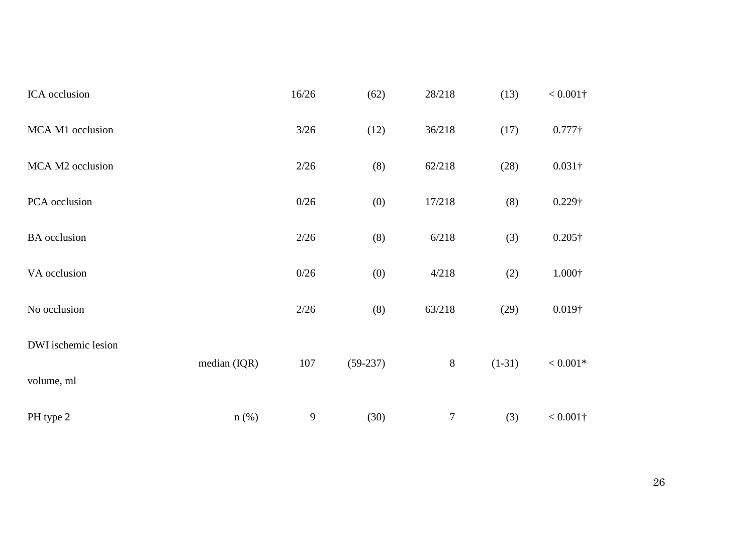| ICA occlusion       |                | 16/26  | (62)       | 28/218           | (13)     | $< 0.001\dagger$ |
|---------------------|----------------|--------|------------|------------------|----------|------------------|
| MCA M1 occlusion    |                | $3/26$ | (12)       | 36/218           | (17)     | $0.777\dagger$   |
| MCA M2 occlusion    |                | 2/26   | (8)        | 62/218           | (28)     | $0.031\dagger$   |
| PCA occlusion       |                | 0/26   | (0)        | 17/218           | (8)      | 0.229†           |
| <b>BA</b> occlusion |                | 2/26   | (8)        | 6/218            | (3)      | $0.205\dagger$   |
| VA occlusion        |                | 0/26   | (0)        | 4/218            | (2)      | $1.000\dagger$   |
| No occlusion        |                | 2/26   | (8)        | 63/218           | (29)     | $0.019\dagger$   |
| DWI ischemic lesion |                |        |            |                  |          |                  |
| volume, ml          | median $(IQR)$ | 107    | $(59-237)$ | $\,8\,$          | $(1-31)$ | $< 0.001*$       |
| PH type 2           | $n$ (%)        | 9      | (30)       | $\boldsymbol{7}$ | (3)      | $< 0.001\dagger$ |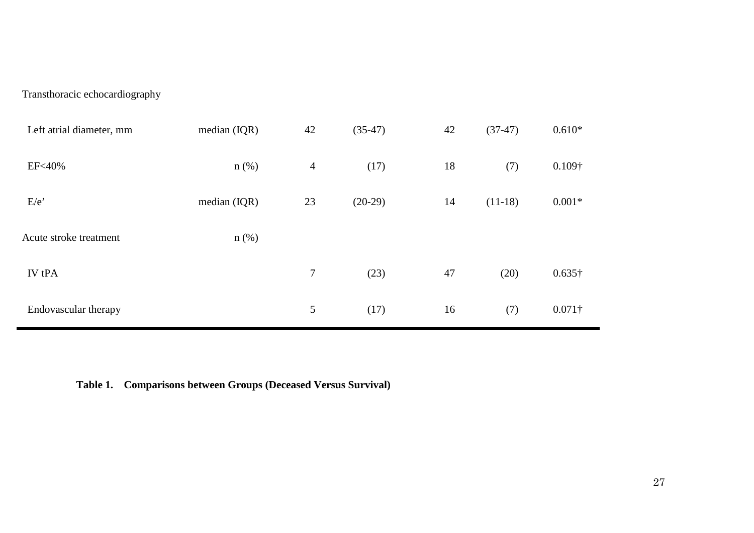Transthoracic echocardiography

| Left atrial diameter, mm | median $(IQR)$ | 42             | $(35-47)$ | 42 | $(37-47)$ | $0.610*$       |
|--------------------------|----------------|----------------|-----------|----|-----------|----------------|
| <b>EF&lt;40%</b>         | $n$ (%)        | $\overline{4}$ | (17)      | 18 | (7)       | $0.109\dagger$ |
| E/e                      | median (IQR)   | 23             | $(20-29)$ | 14 | $(11-18)$ | $0.001*$       |
| Acute stroke treatment   | $n$ (%)        |                |           |    |           |                |
| <b>IV</b> tPA            |                | $\tau$         | (23)      | 47 | (20)      | $0.635\dagger$ |
| Endovascular therapy     |                | 5              | (17)      | 16 | (7)       | $0.071\dagger$ |

**Table 1. Comparisons between Groups (Deceased Versus Survival)**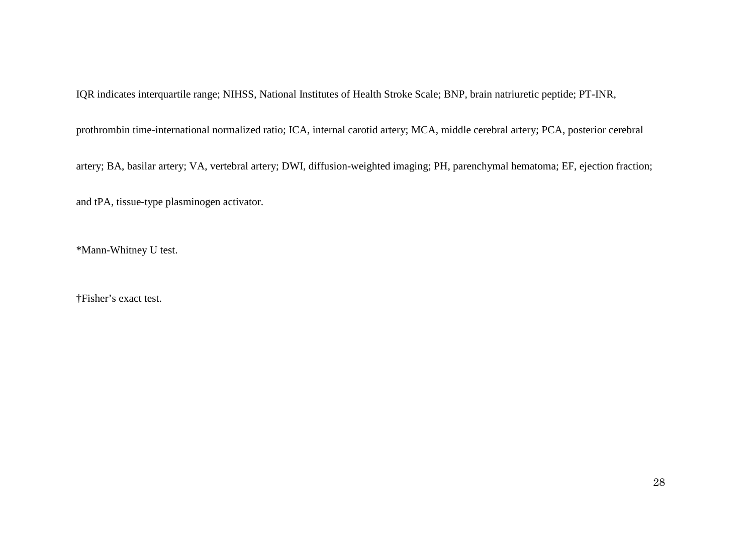IQR indicates interquartile range; NIHSS, National Institutes of Health Stroke Scale; BNP, brain natriuretic peptide; PT-INR,

prothrombin time-international normalized ratio; ICA, internal carotid artery; MCA, middle cerebral artery; PCA, posterior cerebral

artery; BA, basilar artery; VA, vertebral artery; DWI, diffusion-weighted imaging; PH, parenchymal hematoma; EF, ejection fraction;

and tPA, tissue-type plasminogen activator.

\*Mann-Whitney U test.

†Fisher's exact test.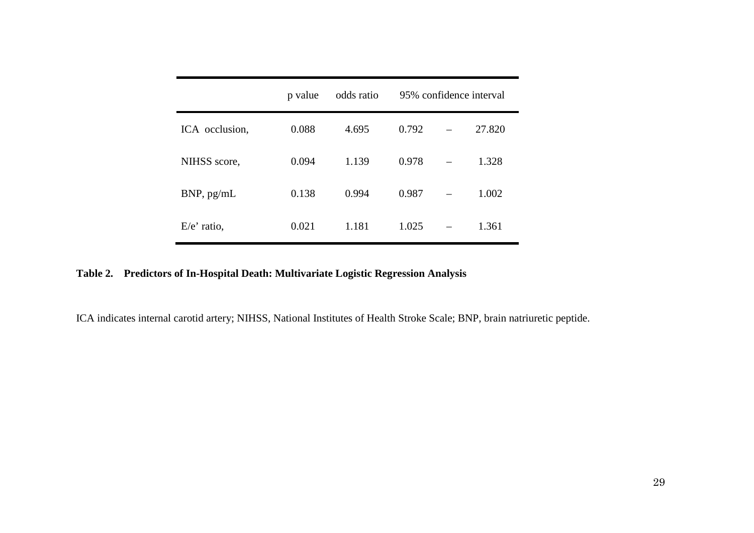|                | p value | odds ratio | 95% confidence interval |  |        |
|----------------|---------|------------|-------------------------|--|--------|
| ICA occlusion, | 0.088   | 4.695      | 0.792                   |  | 27.820 |
| NIHSS score,   | 0.094   | 1.139      | 0.978                   |  | 1.328  |
| BNP, pg/mL     | 0.138   | 0.994      | 0.987                   |  | 1.002  |
| $E/e'$ ratio,  | 0.021   | 1.181      | 1.025                   |  | 1.361  |

# **Table 2. Predictors of In-Hospital Death: Multivariate Logistic Regression Analysis**

ICA indicates internal carotid artery; NIHSS, National Institutes of Health Stroke Scale; BNP, brain natriuretic peptide.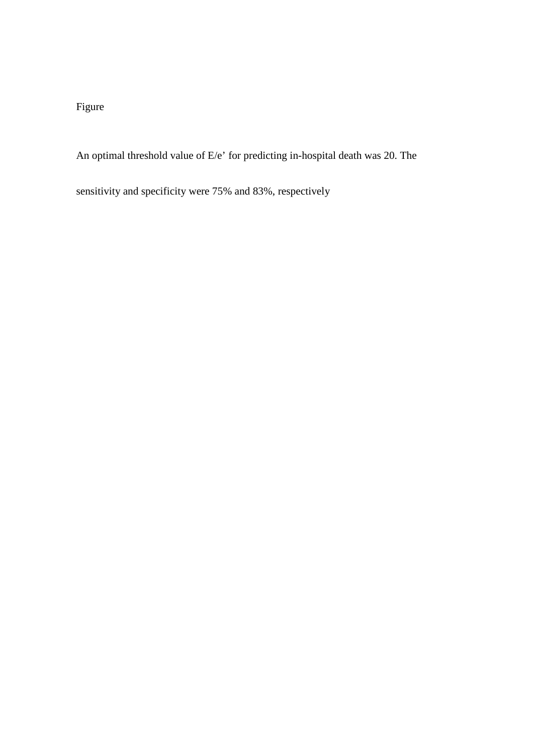# Figure

An optimal threshold value of E/e' for predicting in-hospital death was 20. The

sensitivity and specificity were 75% and 83%, respectively